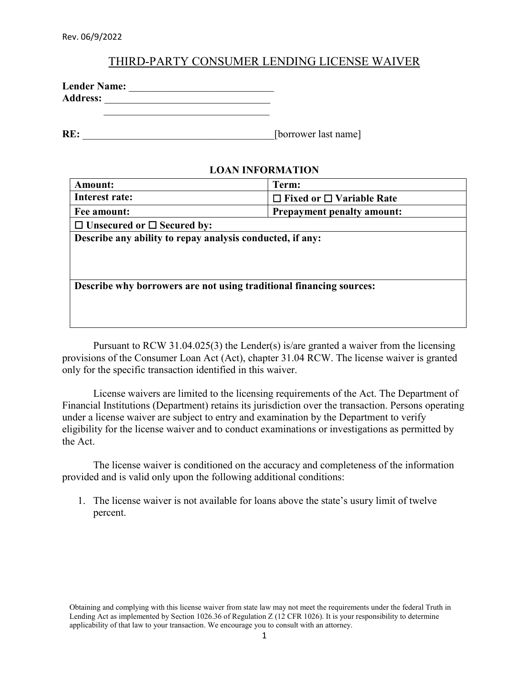## THIRD-PARTY CONSUMER LENDING LICENSE WAIVER

| <b>Lender Name:</b> |  |
|---------------------|--|
| <b>Address:</b>     |  |
|                     |  |

**RE:** [borrower last name]

## **LOAN INFORMATION**

| <b>Amount:</b>                                                      | Term:                                |  |  |  |  |
|---------------------------------------------------------------------|--------------------------------------|--|--|--|--|
| Interest rate:                                                      | $\Box$ Fixed or $\Box$ Variable Rate |  |  |  |  |
| Fee amount:                                                         | <b>Prepayment penalty amount:</b>    |  |  |  |  |
| $\Box$ Unsecured or $\Box$ Secured by:                              |                                      |  |  |  |  |
| Describe any ability to repay analysis conducted, if any:           |                                      |  |  |  |  |
|                                                                     |                                      |  |  |  |  |
|                                                                     |                                      |  |  |  |  |
|                                                                     |                                      |  |  |  |  |
| Describe why borrowers are not using traditional financing sources: |                                      |  |  |  |  |
|                                                                     |                                      |  |  |  |  |
|                                                                     |                                      |  |  |  |  |

Pursuant to RCW 31.04.025(3) the Lender(s) is/are granted a waiver from the licensing provisions of the Consumer Loan Act (Act), chapter 31.04 RCW. The license waiver is granted only for the specific transaction identified in this waiver.

License waivers are limited to the licensing requirements of the Act. The Department of Financial Institutions (Department) retains its jurisdiction over the transaction. Persons operating under a license waiver are subject to entry and examination by the Department to verify eligibility for the license waiver and to conduct examinations or investigations as permitted by the Act.

The license waiver is conditioned on the accuracy and completeness of the information provided and is valid only upon the following additional conditions:

1. The license waiver is not available for loans above the state's usury limit of twelve percent.

Obtaining and complying with this license waiver from state law may not meet the requirements under the federal Truth in Lending Act as implemented by Section 1026.36 of Regulation Z (12 CFR 1026). It is your responsibility to determine applicability of that law to your transaction. We encourage you to consult with an attorney.